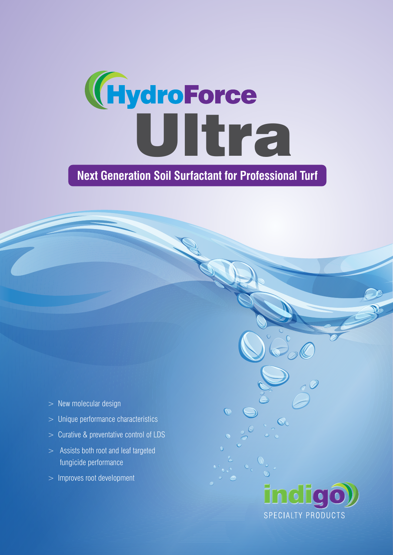

# **Next Generation Soil Surfactant for Professional Turf**

- $>$  New molecular design
- > Unique performance characteristics
- > Curative & preventative control of LDS
- > Assists both root and leaf targeted fungicide performance
- > Improves root development

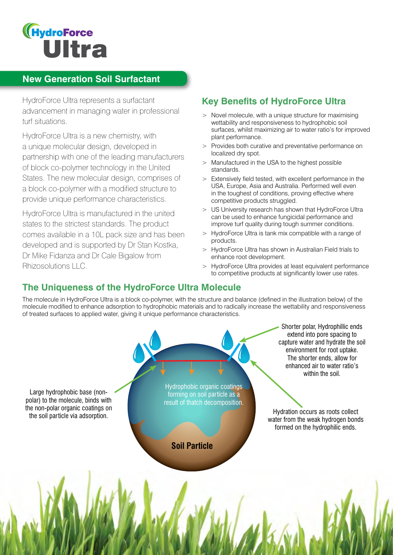

### **New Generation Soil Surfactant**

HydroForce Ultra represents a surfactant advancement in managing water in professional turf situations.

HydroForce Ultra is a new chemistry, with a unique molecular design, developed in partnership with one of the leading manufacturers of block co-polymer technology in the United States. The new molecular design, comprises of a block co-polymer with a modified structure to provide unique performance characteristics.

HydroForce Ultra is manufactured in the united states to the strictest standards. The product comes available in a 10L pack size and has been developed and is supported by Dr Stan Kostka, Dr Mike Fidanza and Dr Cale Bigalow from Rhizosolutions LLC.

## **Key Benefits of HydroForce Ultra**

- > Novel molecule, with a unique structure for maximising wettability and responsiveness to hydrophobic soil surfaces, whilst maximizing air to water ratio's for improved plant performance.
- > Provides both curative and preventative performance on localized dry spot.
- > Manufactured in the USA to the highest possible standards.
- > Extensively field tested, with excellent performance in the USA, Europe, Asia and Australia. Performed well even in the toughest of conditions, proving effective where competitive products struggled.
- > US University research has shown that HydroForce Ultra can be used to enhance fungicidal performance and improve turf quality during tough summer conditions.
- > HydroForce Ultra is tank mix compatible with a range of products.
- > HydroForce Ultra has shown in Australian Field trials to enhance root development.
- > HydroForce Ultra provides at least equivalent performance to competitive products at significantly lower use rates.

### **The Uniqueness of the HydroForce Ultra Molecule**

The molecule in HydroForce Ultra is a block co-polymer, with the structure and balance (defined in the illustration below) of the molecule modified to enhance adsorption to hydrophobic materials and to radically increase the wettability and responsiveness of treated surfaces to applied water, giving it unique performance characteristics.

Large hydrophobic base (nonpolar) to the molecule, binds with the non-polar organic coatings on

Hydrophobic organic coatings forming on soil particle as a result of thatch decomposition.

**Soil Particle**

Shorter polar, Hydrophillic ends extend into pore spacing to capture water and hydrate the soil environment for root uptake. The shorter ends, allow for enhanced air to water ratio's within the soil.

the flori-polar organic coatings on the soil particle via adsorption.<br>The soil particle via adsorption. water from the weak hydrogen bonds formed on the hydrophilic ends.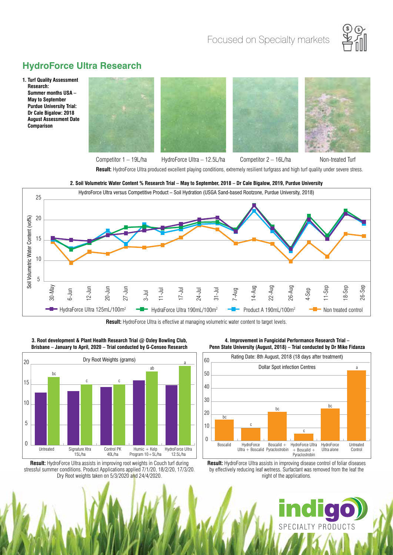

# **HydroForce Ultra Research**

**1. Turf Quality Assessment Research: Summer months USA – May to September Purdue University Trial: Dr Cale Bigalow: 2018 August Assessment Date Comparison**



Competitor 1 – 19L/ha HydroForce Ultra – 12.5L/ha Competitor 2 – 16L/ha Non-treated Turf

**Result:** HydroForce Ultra produced excellent playing conditions, extremely resilient turfgrass and high turf quality under severe stress.



**2. Soil Volumetric Water Content % Research Trial – May to September, 2018 – Dr Cale Bigalow, 2019, Purdue University**

**Result:** HydroForce Ultra is effective at managing volumetric water content to target levels.



**3. Root development & Plant Health Research Trial @ Oxley Bowling Club, Brisbane – January to April, 2020 – Trial conducted by G-Censeo Research**

Result: HydroForce Ultra assists in improving root weights in Couch turf during stressful summer conditions. Product Applications applied 7/1/20, 18/2/20, 17/3/20. Dry Root weights taken on 5/3/2020 and 24/4/2020.

bc

n

a

30

40

50

 $\prime\$ 

**4. Improvement in Fungicidal Performance Research Trial – Penn State University (August, 2018) – Trial conducted by Dr Mike Fidanza** 



**Result:** HydroForce Ultra assists in improving disease control of foliar diseases by effectively reducing leaf wetness. Surfactant was removed from the leaf the night of the applications.